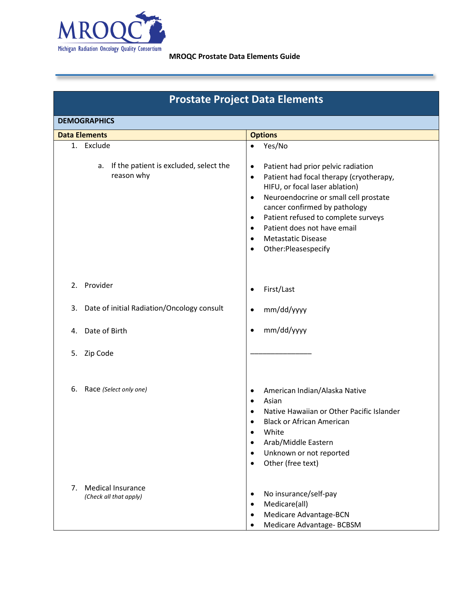

# **Prostate Project Data Elements**

| <b>DEMOGRAPHICS</b>                                      |                                                                                                                                                                                                                                                                                                                                                             |  |  |  |
|----------------------------------------------------------|-------------------------------------------------------------------------------------------------------------------------------------------------------------------------------------------------------------------------------------------------------------------------------------------------------------------------------------------------------------|--|--|--|
| <b>Data Elements</b>                                     | <b>Options</b>                                                                                                                                                                                                                                                                                                                                              |  |  |  |
| 1. Exclude<br>a. If the patient is excluded, select the  | Yes/No<br>$\bullet$<br>Patient had prior pelvic radiation<br>$\bullet$                                                                                                                                                                                                                                                                                      |  |  |  |
| reason why                                               | Patient had focal therapy (cryotherapy,<br>$\bullet$<br>HIFU, or focal laser ablation)<br>Neuroendocrine or small cell prostate<br>$\bullet$<br>cancer confirmed by pathology<br>Patient refused to complete surveys<br>$\bullet$<br>Patient does not have email<br>$\bullet$<br><b>Metastatic Disease</b><br>$\bullet$<br>Other:Pleasespecify<br>$\bullet$ |  |  |  |
| 2. Provider                                              | First/Last<br>$\bullet$                                                                                                                                                                                                                                                                                                                                     |  |  |  |
| Date of initial Radiation/Oncology consult<br>3.         | mm/dd/yyyy<br>$\bullet$                                                                                                                                                                                                                                                                                                                                     |  |  |  |
| Date of Birth<br>4.                                      | mm/dd/yyyy<br>$\bullet$                                                                                                                                                                                                                                                                                                                                     |  |  |  |
| Zip Code<br>5.                                           |                                                                                                                                                                                                                                                                                                                                                             |  |  |  |
| 6.<br>Race (Select only one)                             | American Indian/Alaska Native<br>٠<br>Asian<br>$\bullet$<br>Native Hawaiian or Other Pacific Islander<br>$\bullet$<br><b>Black or African American</b><br>$\bullet$<br>White<br>Arab/Middle Eastern<br>Unknown or not reported<br>$\bullet$<br>Other (free text)<br>$\bullet$                                                                               |  |  |  |
| <b>Medical Insurance</b><br>7.<br>(Check all that apply) | No insurance/self-pay<br>$\bullet$<br>Medicare(all)<br>$\bullet$<br>Medicare Advantage-BCN<br>$\bullet$<br>Medicare Advantage- BCBSM<br>$\bullet$                                                                                                                                                                                                           |  |  |  |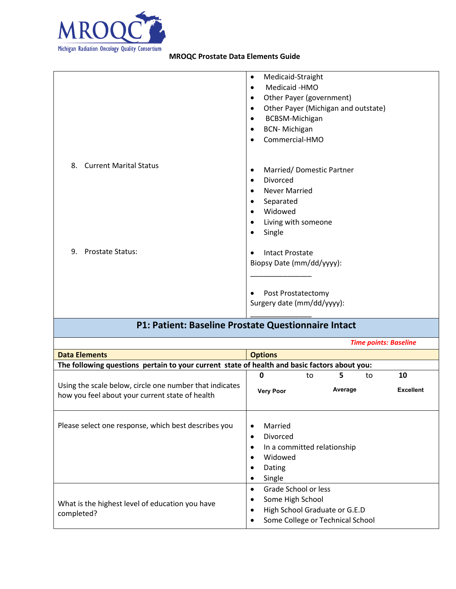

| Medicaid-Straight<br>$\bullet$                                                                                                                                                          |
|-----------------------------------------------------------------------------------------------------------------------------------------------------------------------------------------|
| Medicaid -HMO<br>$\bullet$<br>Other Payer (government)<br>$\bullet$<br>Other Payer (Michigan and outstate)<br>BCBSM-Michigan<br>٠<br><b>BCN-Michigan</b><br>$\bullet$<br>Commercial-HMO |
| Married/Domestic Partner<br>٠<br>Divorced<br>٠<br><b>Never Married</b><br>٠<br>Separated<br>٠<br>Widowed<br>$\bullet$<br>Living with someone<br>Single<br>$\bullet$                     |
| Intact Prostate<br>Biopsy Date (mm/dd/yyyy):<br>Post Prostatectomy<br>Surgery date (mm/dd/yyyy):                                                                                        |
|                                                                                                                                                                                         |

## **P1: Patient: Baseline Prostate Questionnaire Intact**

|                                                                                                            |                                                                                                                                                         |    |         |    | <b>Time points: Baseline</b> |
|------------------------------------------------------------------------------------------------------------|---------------------------------------------------------------------------------------------------------------------------------------------------------|----|---------|----|------------------------------|
| <b>Data Elements</b>                                                                                       | <b>Options</b>                                                                                                                                          |    |         |    |                              |
| The following questions pertain to your current state of health and basic factors about you:               |                                                                                                                                                         |    |         |    |                              |
|                                                                                                            | 0                                                                                                                                                       | to | 5       | to | 10                           |
| Using the scale below, circle one number that indicates<br>how you feel about your current state of health | <b>Very Poor</b>                                                                                                                                        |    | Average |    | <b>Excellent</b>             |
| Please select one response, which best describes you                                                       | Married<br>$\bullet$<br>Divorced<br>$\bullet$<br>In a committed relationship<br>$\bullet$<br>Widowed<br>$\bullet$<br>Dating<br>٠<br>Single<br>$\bullet$ |    |         |    |                              |
| What is the highest level of education you have<br>completed?                                              | Grade School or less<br>$\bullet$<br>Some High School<br>٠<br>High School Graduate or G.E.D<br>$\bullet$<br>Some College or Technical School            |    |         |    |                              |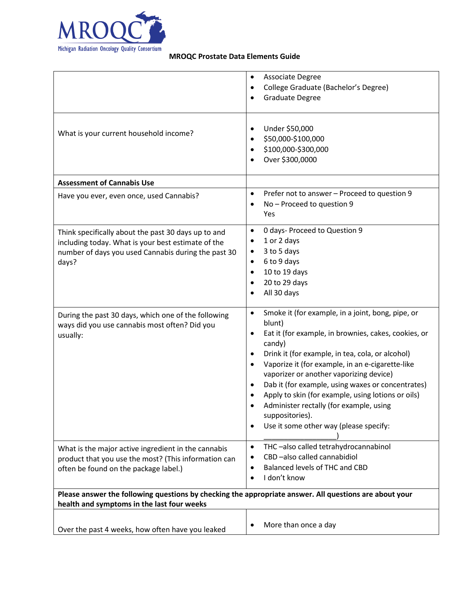

| What is your current household income?                                                                                                                                    | Associate Degree<br>$\bullet$<br>College Graduate (Bachelor's Degree)<br>$\bullet$<br>Graduate Degree<br>Under \$50,000<br>$\bullet$<br>\$50,000-\$100,000<br>$\bullet$<br>\$100,000-\$300,000<br>Over \$300,0000<br>$\bullet$                                                                                                                                                                                                                                                                                                                                       |
|---------------------------------------------------------------------------------------------------------------------------------------------------------------------------|----------------------------------------------------------------------------------------------------------------------------------------------------------------------------------------------------------------------------------------------------------------------------------------------------------------------------------------------------------------------------------------------------------------------------------------------------------------------------------------------------------------------------------------------------------------------|
| <b>Assessment of Cannabis Use</b>                                                                                                                                         |                                                                                                                                                                                                                                                                                                                                                                                                                                                                                                                                                                      |
| Have you ever, even once, used Cannabis?                                                                                                                                  | Prefer not to answer - Proceed to question 9<br>$\bullet$<br>No - Proceed to question 9<br>$\bullet$<br>Yes                                                                                                                                                                                                                                                                                                                                                                                                                                                          |
| Think specifically about the past 30 days up to and<br>including today. What is your best estimate of the<br>number of days you used Cannabis during the past 30<br>days? | 0 days- Proceed to Question 9<br>$\bullet$<br>1 or 2 days<br>$\bullet$<br>3 to 5 days<br>٠<br>6 to 9 days<br>$\bullet$<br>10 to 19 days<br>$\bullet$<br>20 to 29 days<br>$\bullet$<br>All 30 days                                                                                                                                                                                                                                                                                                                                                                    |
| During the past 30 days, which one of the following<br>ways did you use cannabis most often? Did you<br>usually:                                                          | Smoke it (for example, in a joint, bong, pipe, or<br>$\bullet$<br>blunt)<br>Eat it (for example, in brownies, cakes, cookies, or<br>$\bullet$<br>candy)<br>Drink it (for example, in tea, cola, or alcohol)<br>$\bullet$<br>Vaporize it (for example, in an e-cigarette-like<br>$\bullet$<br>vaporizer or another vaporizing device)<br>Dab it (for example, using waxes or concentrates)<br>Apply to skin (for example, using lotions or oils)<br>Administer rectally (for example, using<br>suppositories).<br>Use it some other way (please specify:<br>$\bullet$ |
| What is the major active ingredient in the cannabis<br>product that you use the most? (This information can<br>often be found on the package label.)                      | THC-also called tetrahydrocannabinol<br>$\bullet$<br>CBD-also called cannabidiol<br>Balanced levels of THC and CBD<br>$\bullet$<br>I don't know<br>$\bullet$                                                                                                                                                                                                                                                                                                                                                                                                         |
| Please answer the following questions by checking the appropriate answer. All questions are about your<br>health and symptoms in the last four weeks                      |                                                                                                                                                                                                                                                                                                                                                                                                                                                                                                                                                                      |
| Over the past 4 weeks, how often have you leaked                                                                                                                          | More than once a day<br>$\bullet$                                                                                                                                                                                                                                                                                                                                                                                                                                                                                                                                    |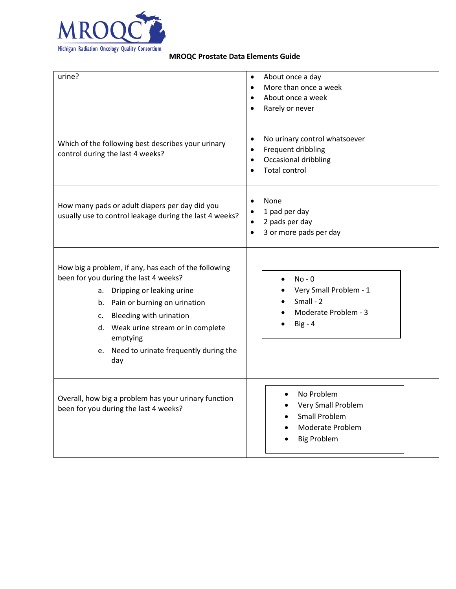

| urine?                                                                                                                                                                                                                                                                                                  | About once a day<br>$\bullet$<br>More than once a week<br>$\bullet$<br>About once a week<br>$\bullet$<br>Rarely or never<br>$\bullet$                   |
|---------------------------------------------------------------------------------------------------------------------------------------------------------------------------------------------------------------------------------------------------------------------------------------------------------|---------------------------------------------------------------------------------------------------------------------------------------------------------|
| Which of the following best describes your urinary<br>control during the last 4 weeks?                                                                                                                                                                                                                  | No urinary control whatsoever<br>$\bullet$<br>Frequent dribbling<br>$\bullet$<br>Occasional dribbling<br>$\bullet$<br><b>Total control</b><br>$\bullet$ |
| How many pads or adult diapers per day did you<br>usually use to control leakage during the last 4 weeks?                                                                                                                                                                                               | None<br>$\bullet$<br>1 pad per day<br>$\bullet$<br>2 pads per day<br>$\bullet$<br>3 or more pads per day<br>$\bullet$                                   |
| How big a problem, if any, has each of the following<br>been for you during the last 4 weeks?<br>Dripping or leaking urine<br>а.<br>b. Pain or burning on urination<br>c. Bleeding with urination<br>d. Weak urine stream or in complete<br>emptying<br>e. Need to urinate frequently during the<br>day | $No - 0$<br>Very Small Problem - 1<br>$Small - 2$<br>Moderate Problem - 3<br>$Big - 4$                                                                  |
| Overall, how big a problem has your urinary function<br>been for you during the last 4 weeks?                                                                                                                                                                                                           | No Problem<br>$\bullet$<br>Very Small Problem<br><b>Small Problem</b><br>Moderate Problem<br><b>Big Problem</b>                                         |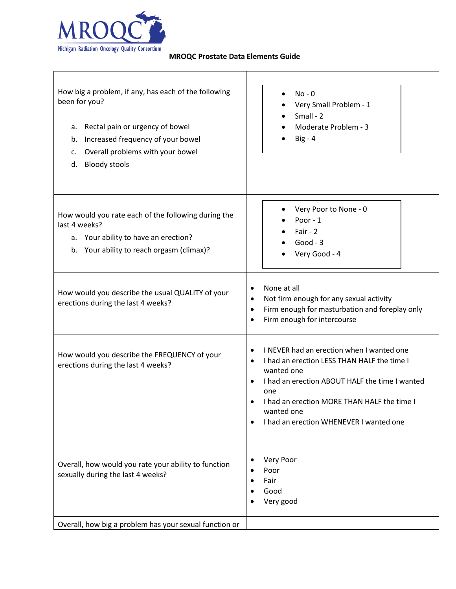

Г

#### **MROQC Prostate Data Elements Guide**

Τ

| How big a problem, if any, has each of the following<br>been for you?<br>Rectal pain or urgency of bowel<br>а.<br>Increased frequency of your bowel<br>b.<br>Overall problems with your bowel<br>c.<br><b>Bloody stools</b><br>d. | $No - 0$<br>Very Small Problem - 1<br>$Small - 2$<br>Moderate Problem - 3<br>$Big - 4$                                                                                                                                                                                               |  |  |  |
|-----------------------------------------------------------------------------------------------------------------------------------------------------------------------------------------------------------------------------------|--------------------------------------------------------------------------------------------------------------------------------------------------------------------------------------------------------------------------------------------------------------------------------------|--|--|--|
| How would you rate each of the following during the<br>last 4 weeks?<br>a. Your ability to have an erection?<br>Your ability to reach orgasm (climax)?<br>b.                                                                      | Very Poor to None - 0<br>Poor - 1<br>Fair - $2$<br>Good - $3$<br>Very Good - 4                                                                                                                                                                                                       |  |  |  |
| How would you describe the usual QUALITY of your<br>erections during the last 4 weeks?                                                                                                                                            | None at all<br>Not firm enough for any sexual activity<br>$\bullet$<br>Firm enough for masturbation and foreplay only<br>$\bullet$<br>Firm enough for intercourse<br>$\bullet$                                                                                                       |  |  |  |
| How would you describe the FREQUENCY of your<br>erections during the last 4 weeks?                                                                                                                                                | I NEVER had an erection when I wanted one<br>I had an erection LESS THAN HALF the time I<br>$\bullet$<br>wanted one<br>I had an erection ABOUT HALF the time I wanted<br>one<br>I had an erection MORE THAN HALF the time I<br>wanted one<br>I had an erection WHENEVER I wanted one |  |  |  |
| Overall, how would you rate your ability to function<br>sexually during the last 4 weeks?                                                                                                                                         | Very Poor<br>Poor<br>Fair<br>Good<br>Very good                                                                                                                                                                                                                                       |  |  |  |
| Overall, how big a problem has your sexual function or                                                                                                                                                                            |                                                                                                                                                                                                                                                                                      |  |  |  |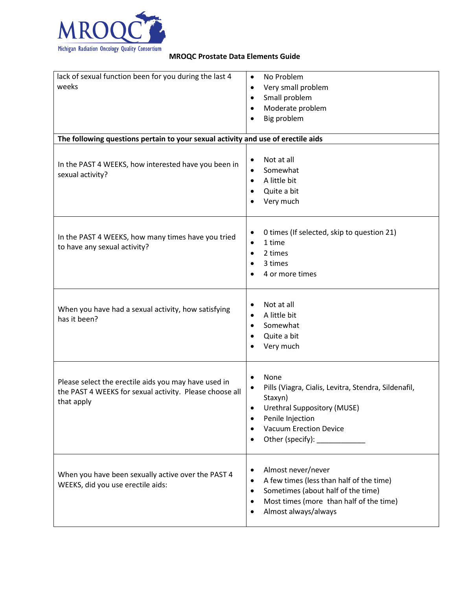

| lack of sexual function been for you during the last 4                           | No Problem<br>$\bullet$                                           |
|----------------------------------------------------------------------------------|-------------------------------------------------------------------|
| weeks                                                                            | Very small problem<br>$\bullet$                                   |
|                                                                                  | Small problem<br>$\bullet$                                        |
|                                                                                  | Moderate problem<br>$\bullet$                                     |
|                                                                                  | Big problem<br>$\bullet$                                          |
|                                                                                  |                                                                   |
| The following questions pertain to your sexual activity and use of erectile aids |                                                                   |
|                                                                                  |                                                                   |
| In the PAST 4 WEEKS, how interested have you been in                             | Not at all<br>$\bullet$                                           |
| sexual activity?                                                                 | Somewhat<br>$\bullet$                                             |
|                                                                                  | A little bit<br>$\bullet$                                         |
|                                                                                  | Quite a bit<br>$\bullet$                                          |
|                                                                                  | Very much<br>$\bullet$                                            |
|                                                                                  |                                                                   |
| In the PAST 4 WEEKS, how many times have you tried                               | 0 times (If selected, skip to question 21)<br>$\bullet$           |
| to have any sexual activity?                                                     | 1 time<br>$\bullet$                                               |
|                                                                                  | 2 times<br>$\bullet$                                              |
|                                                                                  | 3 times<br>$\bullet$                                              |
|                                                                                  | 4 or more times<br>$\bullet$                                      |
|                                                                                  |                                                                   |
|                                                                                  | Not at all<br>$\bullet$                                           |
| When you have had a sexual activity, how satisfying                              | A little bit<br>$\bullet$                                         |
| has it been?                                                                     | Somewhat<br>$\bullet$                                             |
|                                                                                  | Quite a bit<br>$\bullet$                                          |
|                                                                                  | Very much<br>$\bullet$                                            |
|                                                                                  |                                                                   |
|                                                                                  |                                                                   |
| Please select the erectile aids you may have used in                             | None<br>$\bullet$                                                 |
| the PAST 4 WEEKS for sexual activity. Please choose all                          | Pills (Viagra, Cialis, Levitra, Stendra, Sildenafil,<br>$\bullet$ |
| that apply                                                                       | Staxyn)<br>Urethral Suppository (MUSE)<br>$\bullet$               |
|                                                                                  | Penile Injection<br>$\bullet$                                     |
|                                                                                  | <b>Vacuum Erection Device</b><br>$\bullet$                        |
|                                                                                  | Other (specify): ____________<br>$\bullet$                        |
|                                                                                  |                                                                   |
|                                                                                  |                                                                   |
| When you have been sexually active over the PAST 4                               | Almost never/never<br>$\bullet$                                   |
| WEEKS, did you use erectile aids:                                                | A few times (less than half of the time)<br>$\bullet$             |
|                                                                                  | Sometimes (about half of the time)<br>$\bullet$                   |
|                                                                                  | Most times (more than half of the time)<br>$\bullet$              |
|                                                                                  | Almost always/always<br>$\bullet$                                 |
|                                                                                  |                                                                   |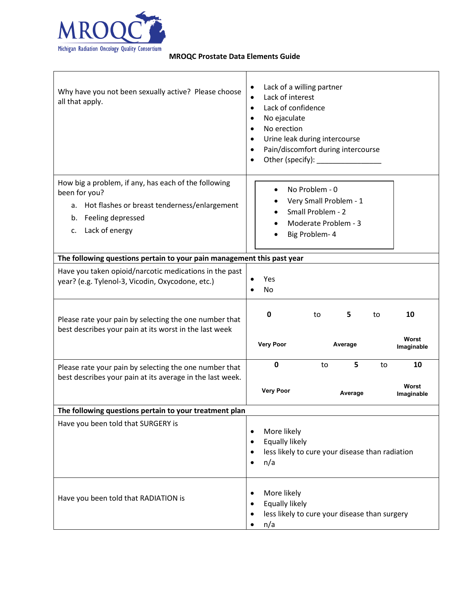

| Why have you not been sexually active? Please choose<br>all that apply.                                                                                                     | Lack of a willing partner<br>٠<br>Lack of interest<br>$\bullet$<br>Lack of confidence<br>$\bullet$<br>No ejaculate<br>٠<br>No erection<br>$\bullet$<br>Urine leak during intercourse<br>$\bullet$<br>Pain/discomfort during intercourse<br>٠<br>$\bullet$ |
|-----------------------------------------------------------------------------------------------------------------------------------------------------------------------------|-----------------------------------------------------------------------------------------------------------------------------------------------------------------------------------------------------------------------------------------------------------|
| How big a problem, if any, has each of the following<br>been for you?<br>a. Hot flashes or breast tenderness/enlargement<br>Feeling depressed<br>b.<br>Lack of energy<br>c. | No Problem - 0<br>$\bullet$<br>Very Small Problem - 1<br>Small Problem - 2<br>Moderate Problem - 3<br>Big Problem-4                                                                                                                                       |
| The following questions pertain to your pain management this past year                                                                                                      |                                                                                                                                                                                                                                                           |
| Have you taken opioid/narcotic medications in the past<br>year? (e.g. Tylenol-3, Vicodin, Oxycodone, etc.)                                                                  | Yes<br>No                                                                                                                                                                                                                                                 |
| Please rate your pain by selecting the one number that<br>best describes your pain at its worst in the last week                                                            | 0<br>5<br>10<br>to<br>to<br>Worst<br><b>Very Poor</b><br>Average<br>Imaginable                                                                                                                                                                            |
| Please rate your pain by selecting the one number that<br>best describes your pain at its average in the last week.                                                         | 0<br>5<br>10<br>to<br>to<br>Worst<br><b>Very Poor</b><br>Average<br>Imaginable                                                                                                                                                                            |
| The following questions pertain to your treatment plan                                                                                                                      |                                                                                                                                                                                                                                                           |
| Have you been told that SURGERY is                                                                                                                                          | More likely<br>$\bullet$<br>Equally likely<br>$\bullet$<br>less likely to cure your disease than radiation<br>$\bullet$<br>n/a<br>$\bullet$                                                                                                               |
| Have you been told that RADIATION is                                                                                                                                        | More likely<br>$\bullet$<br>Equally likely<br>$\bullet$<br>less likely to cure your disease than surgery<br>$\bullet$<br>n/a<br>$\bullet$                                                                                                                 |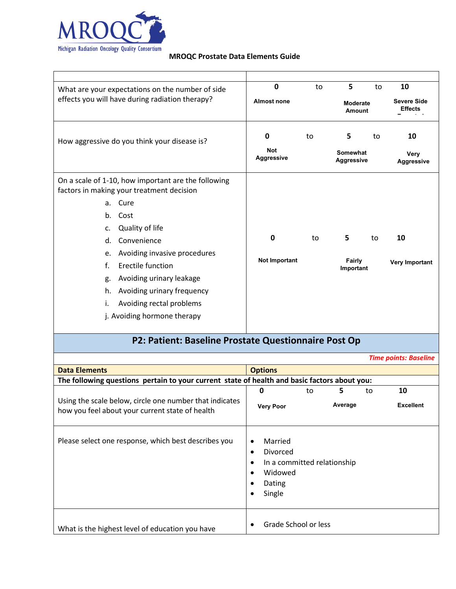

| What are your expectations on the number of side                                                 | $\mathbf 0$                          | to | 5                                | to | 10                                   |
|--------------------------------------------------------------------------------------------------|--------------------------------------|----|----------------------------------|----|--------------------------------------|
| effects you will have during radiation therapy?                                                  | <b>Almost none</b>                   |    | <b>Moderate</b><br><b>Amount</b> |    | <b>Severe Side</b><br><b>Effects</b> |
| How aggressive do you think your disease is?                                                     | 0<br><b>Not</b>                      | to | 5<br>Somewhat                    | to | 10<br>Very                           |
|                                                                                                  | Aggressive                           |    | <b>Aggressive</b>                |    | <b>Aggressive</b>                    |
| On a scale of 1-10, how important are the following<br>factors in making your treatment decision |                                      |    |                                  |    |                                      |
| Cure<br>a.                                                                                       |                                      |    |                                  |    |                                      |
| Cost<br>b.                                                                                       |                                      |    |                                  |    |                                      |
| Quality of life<br>c.                                                                            |                                      |    |                                  |    |                                      |
| Convenience<br>d.                                                                                | $\mathbf 0$                          | to | 5                                | to | 10                                   |
| Avoiding invasive procedures<br>e.                                                               |                                      |    |                                  |    |                                      |
| Erectile function<br>f.                                                                          | Not Important<br>Fairly<br>Important |    | Very Important                   |    |                                      |
| Avoiding urinary leakage<br>g.                                                                   |                                      |    |                                  |    |                                      |
| Avoiding urinary frequency<br>h.                                                                 |                                      |    |                                  |    |                                      |
| Avoiding rectal problems<br>i.                                                                   |                                      |    |                                  |    |                                      |
| j. Avoiding hormone therapy                                                                      |                                      |    |                                  |    |                                      |
| P2: Patient: Baseline Prostate Questionnaire Post Op                                             |                                      |    |                                  |    |                                      |
|                                                                                                  |                                      |    |                                  |    | <b>Time points: Baseline</b>         |
| <b>Data Elements</b>                                                                             | <b>Options</b>                       |    |                                  |    |                                      |

| <b>Data Elements</b>                                                                                       | <b>Options</b>                                                                                              |                             |              |    |                        |
|------------------------------------------------------------------------------------------------------------|-------------------------------------------------------------------------------------------------------------|-----------------------------|--------------|----|------------------------|
|                                                                                                            | The following questions pertain to your current state of health and basic factors about you:                |                             |              |    |                        |
| Using the scale below, circle one number that indicates<br>how you feel about your current state of health | 0<br><b>Very Poor</b>                                                                                       | to                          | 5<br>Average | to | 10<br><b>Excellent</b> |
| Please select one response, which best describes you                                                       | Married<br>٠<br>Divorced<br>$\bullet$<br>$\bullet$<br>Widowed<br>$\bullet$<br>Dating<br>Single<br>$\bullet$ | In a committed relationship |              |    |                        |
| What is the highest level of education you have                                                            |                                                                                                             | Grade School or less        |              |    |                        |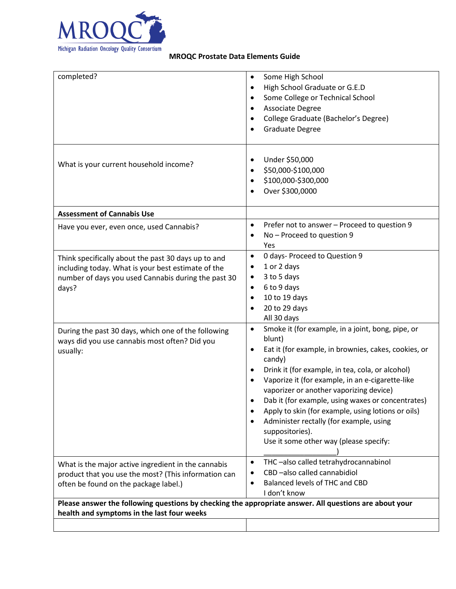

| completed?                                                                                                                                                                | Some High School<br>$\bullet$<br>High School Graduate or G.E.D<br>$\bullet$<br>Some College or Technical School<br>$\bullet$<br>Associate Degree<br>$\bullet$<br>College Graduate (Bachelor's Degree)<br><b>Graduate Degree</b>                                                                                                                                                                                                                                                                                                                              |
|---------------------------------------------------------------------------------------------------------------------------------------------------------------------------|--------------------------------------------------------------------------------------------------------------------------------------------------------------------------------------------------------------------------------------------------------------------------------------------------------------------------------------------------------------------------------------------------------------------------------------------------------------------------------------------------------------------------------------------------------------|
| What is your current household income?                                                                                                                                    | Under \$50,000<br>$\bullet$<br>\$50,000-\$100,000<br>$\bullet$<br>\$100,000-\$300,000<br>$\bullet$<br>Over \$300,0000                                                                                                                                                                                                                                                                                                                                                                                                                                        |
| <b>Assessment of Cannabis Use</b>                                                                                                                                         |                                                                                                                                                                                                                                                                                                                                                                                                                                                                                                                                                              |
| Have you ever, even once, used Cannabis?                                                                                                                                  | Prefer not to answer - Proceed to question 9<br>$\bullet$<br>No - Proceed to question 9<br>$\bullet$<br>Yes                                                                                                                                                                                                                                                                                                                                                                                                                                                  |
| Think specifically about the past 30 days up to and<br>including today. What is your best estimate of the<br>number of days you used Cannabis during the past 30<br>days? | 0 days- Proceed to Question 9<br>$\bullet$<br>1 or 2 days<br>$\bullet$<br>3 to 5 days<br>٠<br>6 to 9 days<br>$\bullet$<br>10 to 19 days<br>$\bullet$<br>20 to 29 days<br>$\bullet$<br>All 30 days                                                                                                                                                                                                                                                                                                                                                            |
| During the past 30 days, which one of the following<br>ways did you use cannabis most often? Did you<br>usually:                                                          | Smoke it (for example, in a joint, bong, pipe, or<br>$\bullet$<br>blunt)<br>Eat it (for example, in brownies, cakes, cookies, or<br>$\bullet$<br>candy)<br>Drink it (for example, in tea, cola, or alcohol)<br>Vaporize it (for example, in an e-cigarette-like<br>$\bullet$<br>vaporizer or another vaporizing device)<br>Dab it (for example, using waxes or concentrates)<br>Apply to skin (for example, using lotions or oils)<br>٠<br>Administer rectally (for example, using<br>$\bullet$<br>suppositories).<br>Use it some other way (please specify: |
| What is the major active ingredient in the cannabis<br>product that you use the most? (This information can<br>often be found on the package label.)                      | THC-also called tetrahydrocannabinol<br>$\bullet$<br>CBD-also called cannabidiol<br>Balanced levels of THC and CBD<br>$\bullet$<br>I don't know                                                                                                                                                                                                                                                                                                                                                                                                              |
| Please answer the following questions by checking the appropriate answer. All questions are about your                                                                    |                                                                                                                                                                                                                                                                                                                                                                                                                                                                                                                                                              |
| health and symptoms in the last four weeks                                                                                                                                |                                                                                                                                                                                                                                                                                                                                                                                                                                                                                                                                                              |
|                                                                                                                                                                           |                                                                                                                                                                                                                                                                                                                                                                                                                                                                                                                                                              |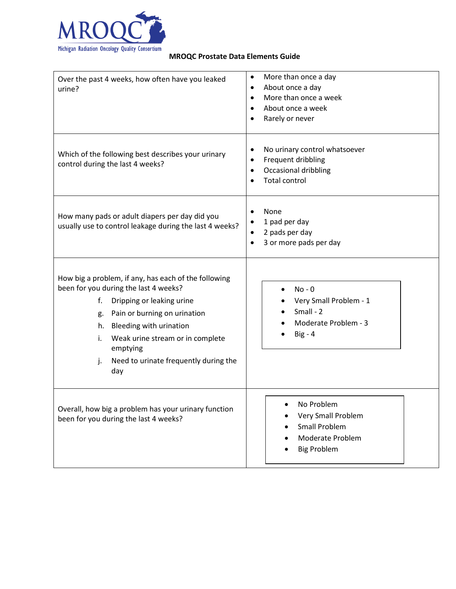

| Over the past 4 weeks, how often have you leaked<br>urine?                                                                                                                                                                                                                                                          | More than once a day<br>$\bullet$<br>About once a day<br>$\bullet$<br>More than once a week<br>$\bullet$<br>About once a week<br>$\bullet$<br>Rarely or never |
|---------------------------------------------------------------------------------------------------------------------------------------------------------------------------------------------------------------------------------------------------------------------------------------------------------------------|---------------------------------------------------------------------------------------------------------------------------------------------------------------|
| Which of the following best describes your urinary<br>control during the last 4 weeks?                                                                                                                                                                                                                              | No urinary control whatsoever<br>٠<br>Frequent dribbling<br>$\bullet$<br>Occasional dribbling<br>$\bullet$<br><b>Total control</b>                            |
| How many pads or adult diapers per day did you<br>usually use to control leakage during the last 4 weeks?                                                                                                                                                                                                           | None<br>$\bullet$<br>1 pad per day<br>$\bullet$<br>2 pads per day<br>$\bullet$<br>3 or more pads per day<br>$\bullet$                                         |
| How big a problem, if any, has each of the following<br>been for you during the last 4 weeks?<br>f.<br>Dripping or leaking urine<br>Pain or burning on urination<br>g.<br>Bleeding with urination<br>h.<br>Weak urine stream or in complete<br>i.<br>emptying<br>Need to urinate frequently during the<br>j.<br>day | $No - 0$<br>Very Small Problem - 1<br>Small - 2<br>Moderate Problem - 3<br>$Big - 4$                                                                          |
| Overall, how big a problem has your urinary function<br>been for you during the last 4 weeks?                                                                                                                                                                                                                       | No Problem<br>Very Small Problem<br><b>Small Problem</b><br>Moderate Problem<br><b>Big Problem</b>                                                            |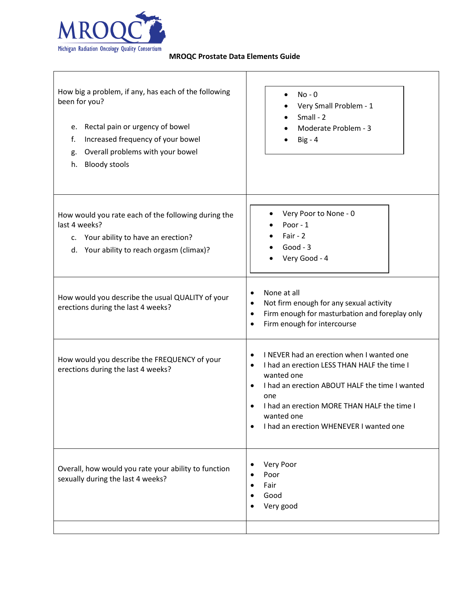

 $\Gamma$ 

#### **MROQC Prostate Data Elements Guide**

| How big a problem, if any, has each of the following<br>been for you?<br>Rectal pain or urgency of bowel<br>e.<br>Increased frequency of your bowel<br>f.<br>Overall problems with your bowel<br>g.<br><b>Bloody stools</b><br>h. | $No - 0$<br>Very Small Problem - 1<br>$Small - 2$<br>Moderate Problem - 3<br>$Big - 4$                                                                                                                                                                                                                                      |
|-----------------------------------------------------------------------------------------------------------------------------------------------------------------------------------------------------------------------------------|-----------------------------------------------------------------------------------------------------------------------------------------------------------------------------------------------------------------------------------------------------------------------------------------------------------------------------|
| How would you rate each of the following during the<br>last 4 weeks?<br>c. Your ability to have an erection?<br>d. Your ability to reach orgasm (climax)?                                                                         | Very Poor to None - 0<br>Poor - 1<br>Fair - $2$<br>Good - $3$<br>Very Good - 4                                                                                                                                                                                                                                              |
| How would you describe the usual QUALITY of your<br>erections during the last 4 weeks?                                                                                                                                            | None at all<br>$\bullet$<br>Not firm enough for any sexual activity<br>$\bullet$<br>Firm enough for masturbation and foreplay only<br>$\bullet$<br>Firm enough for intercourse<br>$\bullet$                                                                                                                                 |
| How would you describe the FREQUENCY of your<br>erections during the last 4 weeks?                                                                                                                                                | I NEVER had an erection when I wanted one<br>$\bullet$<br>I had an erection LESS THAN HALF the time I<br>$\bullet$<br>wanted one<br>I had an erection ABOUT HALF the time I wanted<br>$\bullet$<br>one<br>I had an erection MORE THAN HALF the time I<br>wanted one<br>I had an erection WHENEVER I wanted one<br>$\bullet$ |
| Overall, how would you rate your ability to function<br>sexually during the last 4 weeks?                                                                                                                                         | Very Poor<br>$\bullet$<br>Poor<br>$\bullet$<br>Fair<br>$\bullet$<br>Good<br>Very good                                                                                                                                                                                                                                       |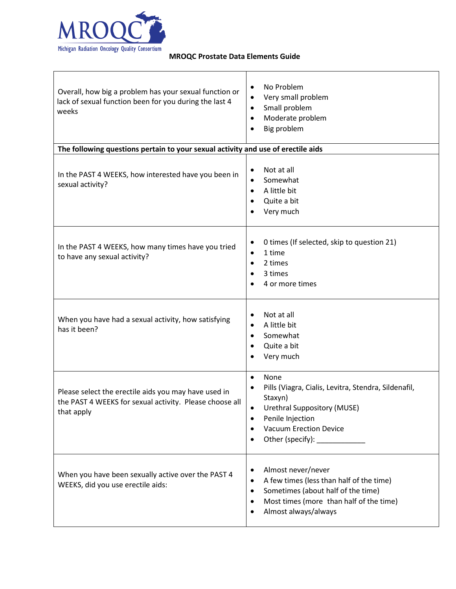

| Overall, how big a problem has your sexual function or<br>lack of sexual function been for you during the last 4<br>weeks     | No Problem<br>$\bullet$<br>Very small problem<br>$\bullet$<br>Small problem<br>$\bullet$<br>Moderate problem<br>$\bullet$<br>Big problem<br>$\bullet$                                                                                                                 |
|-------------------------------------------------------------------------------------------------------------------------------|-----------------------------------------------------------------------------------------------------------------------------------------------------------------------------------------------------------------------------------------------------------------------|
| The following questions pertain to your sexual activity and use of erectile aids                                              |                                                                                                                                                                                                                                                                       |
| In the PAST 4 WEEKS, how interested have you been in<br>sexual activity?                                                      | Not at all<br>$\bullet$<br>Somewhat<br>$\bullet$<br>A little bit<br>$\bullet$<br>Quite a bit<br>$\bullet$<br>Very much                                                                                                                                                |
| In the PAST 4 WEEKS, how many times have you tried<br>to have any sexual activity?                                            | 0 times (If selected, skip to question 21)<br>$\bullet$<br>1 time<br>$\bullet$<br>2 times<br>$\bullet$<br>3 times<br>٠<br>4 or more times                                                                                                                             |
| When you have had a sexual activity, how satisfying<br>has it been?                                                           | Not at all<br>$\bullet$<br>A little bit<br>$\bullet$<br>Somewhat<br>$\bullet$<br>Quite a bit<br>Very much<br>$\bullet$                                                                                                                                                |
| Please select the erectile aids you may have used in<br>the PAST 4 WEEKS for sexual activity. Please choose all<br>that apply | None<br>$\bullet$<br>Pills (Viagra, Cialis, Levitra, Stendra, Sildenafil,<br>$\bullet$<br>Staxyn)<br><b>Urethral Suppository (MUSE)</b><br>Penile Injection<br>$\bullet$<br><b>Vacuum Erection Device</b><br>$\bullet$<br>Other (specify): _____________<br>$\bullet$ |
| When you have been sexually active over the PAST 4<br>WEEKS, did you use erectile aids:                                       | Almost never/never<br>$\bullet$<br>A few times (less than half of the time)<br>$\bullet$<br>Sometimes (about half of the time)<br>$\bullet$<br>Most times (more than half of the time)<br>$\bullet$<br>Almost always/always<br>$\bullet$                              |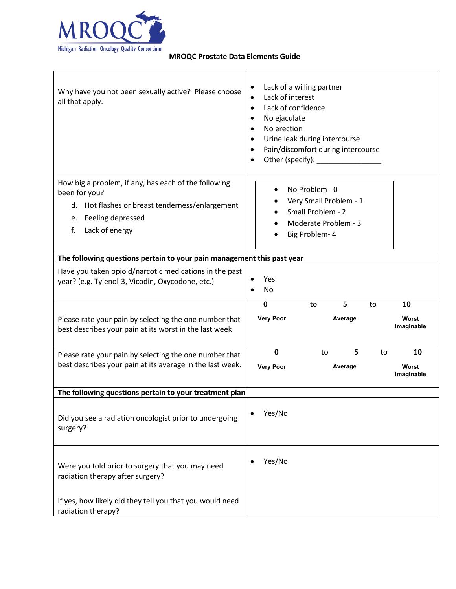

| Why have you not been sexually active? Please choose<br>all that apply.                                                                                                  | Lack of a willing partner<br>$\bullet$<br>Lack of interest<br>$\bullet$<br>Lack of confidence<br>$\bullet$<br>No ejaculate<br>٠<br>No erection<br>Urine leak during intercourse<br>Pain/discomfort during intercourse<br>Other (specify): Notice of the state of the state of the state of the state of the state of the state of the state of the state of the state of the state of the state of the state of the state of the state of the state of<br>$\bullet$ |
|--------------------------------------------------------------------------------------------------------------------------------------------------------------------------|---------------------------------------------------------------------------------------------------------------------------------------------------------------------------------------------------------------------------------------------------------------------------------------------------------------------------------------------------------------------------------------------------------------------------------------------------------------------|
| How big a problem, if any, has each of the following<br>been for you?<br>d. Hot flashes or breast tenderness/enlargement<br>e. Feeling depressed<br>Lack of energy<br>f. | No Problem - 0<br>Very Small Problem - 1<br>Small Problem - 2<br>Moderate Problem - 3<br>Big Problem-4                                                                                                                                                                                                                                                                                                                                                              |
| The following questions pertain to your pain management this past year                                                                                                   |                                                                                                                                                                                                                                                                                                                                                                                                                                                                     |
| Have you taken opioid/narcotic medications in the past<br>year? (e.g. Tylenol-3, Vicodin, Oxycodone, etc.)                                                               | Yes<br>No                                                                                                                                                                                                                                                                                                                                                                                                                                                           |
|                                                                                                                                                                          | 5<br>$\mathbf 0$<br>10<br>to<br>to                                                                                                                                                                                                                                                                                                                                                                                                                                  |
| Please rate your pain by selecting the one number that<br>best describes your pain at its worst in the last week                                                         | <b>Very Poor</b><br>Average<br>Worst<br>Imaginable                                                                                                                                                                                                                                                                                                                                                                                                                  |
| Please rate your pain by selecting the one number that<br>best describes your pain at its average in the last week.                                                      | 5<br>$\mathbf 0$<br>10<br>to<br>to<br><b>Very Poor</b><br>Average<br>Worst<br>Imaginable                                                                                                                                                                                                                                                                                                                                                                            |
| The following questions pertain to your treatment plan                                                                                                                   |                                                                                                                                                                                                                                                                                                                                                                                                                                                                     |
| Did you see a radiation oncologist prior to undergoing<br>surgery?                                                                                                       | Yes/No                                                                                                                                                                                                                                                                                                                                                                                                                                                              |
| Were you told prior to surgery that you may need<br>radiation therapy after surgery?                                                                                     | Yes/No                                                                                                                                                                                                                                                                                                                                                                                                                                                              |
| If yes, how likely did they tell you that you would need<br>radiation therapy?                                                                                           |                                                                                                                                                                                                                                                                                                                                                                                                                                                                     |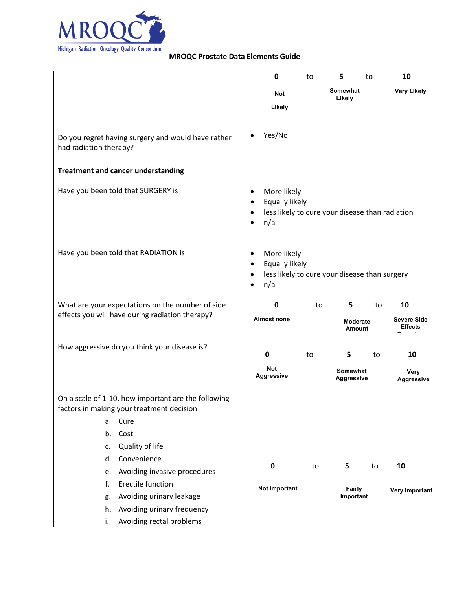

|                                                                                                  |                                                    | 0                        | to | 5                                               | to | 10                 |
|--------------------------------------------------------------------------------------------------|----------------------------------------------------|--------------------------|----|-------------------------------------------------|----|--------------------|
|                                                                                                  |                                                    | <b>Not</b>               |    | Somewhat                                        |    | <b>Very Likely</b> |
|                                                                                                  |                                                    | Likely                   |    | Likely                                          |    |                    |
|                                                                                                  |                                                    |                          |    |                                                 |    |                    |
| Do you regret having surgery and would have rather                                               | $\bullet$                                          | Yes/No                   |    |                                                 |    |                    |
| had radiation therapy?                                                                           |                                                    |                          |    |                                                 |    |                    |
|                                                                                                  |                                                    |                          |    |                                                 |    |                    |
| <b>Treatment and cancer understanding</b>                                                        |                                                    |                          |    |                                                 |    |                    |
| Have you been told that SURGERY is                                                               | $\bullet$                                          | More likely              |    |                                                 |    |                    |
|                                                                                                  | $\bullet$                                          | Equally likely           |    |                                                 |    |                    |
|                                                                                                  | $\bullet$                                          |                          |    | less likely to cure your disease than radiation |    |                    |
|                                                                                                  | $\bullet$                                          | n/a                      |    |                                                 |    |                    |
| Have you been told that RADIATION is                                                             |                                                    | More likely              |    |                                                 |    |                    |
|                                                                                                  | $\bullet$<br>$\bullet$                             | Equally likely           |    |                                                 |    |                    |
|                                                                                                  | $\bullet$                                          |                          |    | less likely to cure your disease than surgery   |    |                    |
|                                                                                                  | $\bullet$                                          | n/a                      |    |                                                 |    |                    |
| What are your expectations on the number of side                                                 |                                                    | $\mathbf 0$              | to | 5                                               | to | 10                 |
| effects you will have during radiation therapy?                                                  |                                                    | <b>Almost none</b>       |    |                                                 |    | <b>Severe Side</b> |
|                                                                                                  |                                                    |                          |    | <b>Moderate</b><br><b>Amount</b>                |    | <b>Effects</b>     |
| How aggressive do you think your disease is?                                                     |                                                    |                          |    |                                                 |    |                    |
|                                                                                                  |                                                    | $\mathbf 0$              | to | 5                                               | to | 10                 |
|                                                                                                  |                                                    | Not<br><b>Aggressive</b> |    | Somewhat<br><b>Aggressive</b>                   |    | <b>Very</b>        |
|                                                                                                  |                                                    |                          |    |                                                 |    | <b>Aggressive</b>  |
| On a scale of 1-10, how important are the following<br>factors in making your treatment decision |                                                    |                          |    |                                                 |    |                    |
| a. Cure                                                                                          |                                                    |                          |    |                                                 |    |                    |
| Cost<br>b.                                                                                       |                                                    |                          |    |                                                 |    |                    |
| Quality of life<br>c.                                                                            |                                                    |                          |    |                                                 |    |                    |
| Convenience<br>d.                                                                                |                                                    |                          |    |                                                 |    |                    |
| Avoiding invasive procedures<br>e.                                                               |                                                    | $\mathbf 0$              | to | 5                                               | to | 10                 |
| Erectile function<br>f.                                                                          | <b>Not Important</b><br><b>Fairly</b><br>Important |                          |    |                                                 |    |                    |
| Avoiding urinary leakage<br>g.                                                                   |                                                    |                          |    | <b>Very Important</b>                           |    |                    |
| Avoiding urinary frequency<br>h.                                                                 |                                                    |                          |    |                                                 |    |                    |
| Avoiding rectal problems<br>i.                                                                   |                                                    |                          |    |                                                 |    |                    |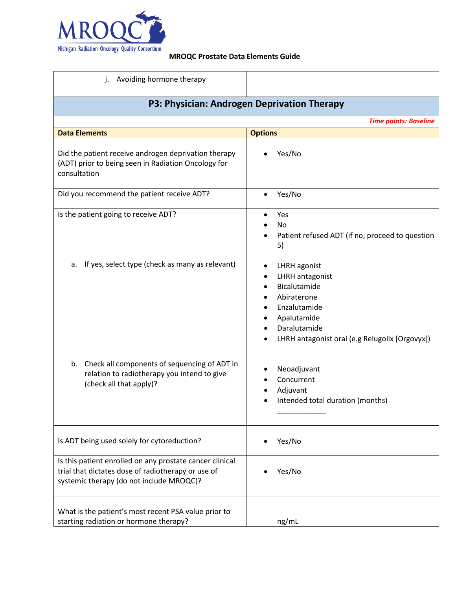

| Avoiding hormone therapy<br>j.                                                                                                                             |                                                                                                                                                                                  |  |  |
|------------------------------------------------------------------------------------------------------------------------------------------------------------|----------------------------------------------------------------------------------------------------------------------------------------------------------------------------------|--|--|
| P3: Physician: Androgen Deprivation Therapy                                                                                                                |                                                                                                                                                                                  |  |  |
|                                                                                                                                                            | <b>Time points: Baseline</b>                                                                                                                                                     |  |  |
| <b>Data Elements</b>                                                                                                                                       | <b>Options</b>                                                                                                                                                                   |  |  |
| Did the patient receive androgen deprivation therapy<br>(ADT) prior to being seen in Radiation Oncology for<br>consultation                                | Yes/No                                                                                                                                                                           |  |  |
| Did you recommend the patient receive ADT?                                                                                                                 | Yes/No                                                                                                                                                                           |  |  |
| Is the patient going to receive ADT?                                                                                                                       | Yes<br>$\bullet$<br><b>No</b><br>Patient refused ADT (if no, proceed to question<br>5)                                                                                           |  |  |
| If yes, select type (check as many as relevant)<br>a.                                                                                                      | LHRH agonist<br>٠<br><b>LHRH</b> antagonist<br>٠<br>Bicalutamide<br>Abiraterone<br>Enzalutamide<br>Apalutamide<br>Daralutamide<br>LHRH antagonist oral (e.g Relugolix [Orgovyx]) |  |  |
| b. Check all components of sequencing of ADT in<br>relation to radiotherapy you intend to give<br>(check all that apply)?                                  | Neoadjuvant<br>Concurrent<br>Adjuvant<br>Intended total duration (months)                                                                                                        |  |  |
| Is ADT being used solely for cytoreduction?                                                                                                                | Yes/No                                                                                                                                                                           |  |  |
| Is this patient enrolled on any prostate cancer clinical<br>trial that dictates dose of radiotherapy or use of<br>systemic therapy (do not include MROQC)? | Yes/No                                                                                                                                                                           |  |  |
| What is the patient's most recent PSA value prior to<br>starting radiation or hormone therapy?                                                             | ng/mL                                                                                                                                                                            |  |  |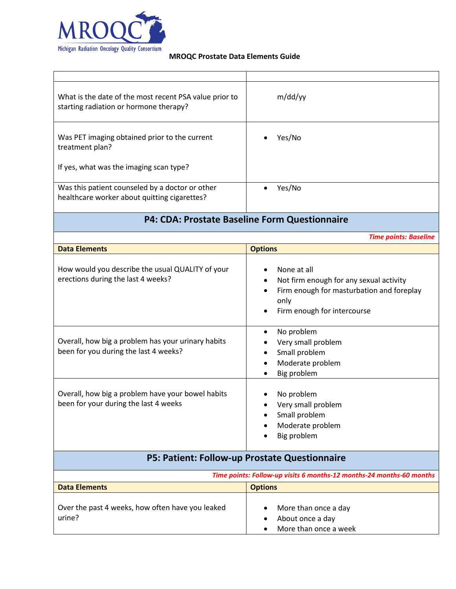

| What is the date of the most recent PSA value prior to<br>starting radiation or hormone therapy? | m/dd/yy                                                                                                                                                 |
|--------------------------------------------------------------------------------------------------|---------------------------------------------------------------------------------------------------------------------------------------------------------|
| Was PET imaging obtained prior to the current<br>treatment plan?                                 | Yes/No                                                                                                                                                  |
| If yes, what was the imaging scan type?                                                          |                                                                                                                                                         |
| Was this patient counseled by a doctor or other<br>healthcare worker about quitting cigarettes?  | Yes/No                                                                                                                                                  |
|                                                                                                  | P4: CDA: Prostate Baseline Form Questionnaire                                                                                                           |
|                                                                                                  | <b>Time points: Baseline</b>                                                                                                                            |
| <b>Data Elements</b>                                                                             | <b>Options</b>                                                                                                                                          |
| How would you describe the usual QUALITY of your<br>erections during the last 4 weeks?           | None at all<br>Not firm enough for any sexual activity<br>$\bullet$<br>Firm enough for masturbation and foreplay<br>only<br>Firm enough for intercourse |
| Overall, how big a problem has your urinary habits<br>been for you during the last 4 weeks?      | No problem<br>Very small problem<br>Small problem<br>٠<br>Moderate problem<br>Big problem                                                               |
| Overall, how big a problem have your bowel habits<br>been for your during the last 4 weeks       | No problem<br>Very small problem<br>Small problem<br>Moderate problem<br>Big problem                                                                    |
|                                                                                                  | P5: Patient: Follow-up Prostate Questionnaire                                                                                                           |
|                                                                                                  | Time points: Follow-up visits 6 months-12 months-24 months-60 months                                                                                    |
| <b>Data Elements</b>                                                                             | <b>Options</b>                                                                                                                                          |
| Over the past 4 weeks, how often have you leaked<br>urine?                                       | More than once a day<br>About once a day<br>More than once a week                                                                                       |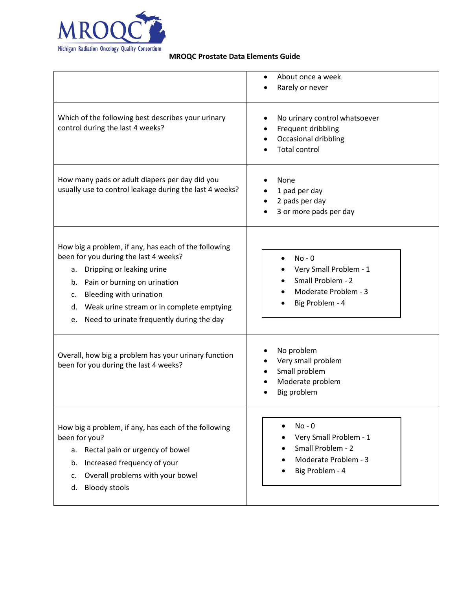

|                                                                                                                                                                                                                                                                                                            | About once a week<br>Rarely or never                                                                            |
|------------------------------------------------------------------------------------------------------------------------------------------------------------------------------------------------------------------------------------------------------------------------------------------------------------|-----------------------------------------------------------------------------------------------------------------|
| Which of the following best describes your urinary<br>control during the last 4 weeks?                                                                                                                                                                                                                     | No urinary control whatsoever<br>Frequent dribbling<br>Occasional dribbling<br><b>Total control</b>             |
| How many pads or adult diapers per day did you<br>usually use to control leakage during the last 4 weeks?                                                                                                                                                                                                  | None<br>1 pad per day<br>2 pads per day<br>3 or more pads per day                                               |
| How big a problem, if any, has each of the following<br>been for you during the last 4 weeks?<br>a. Dripping or leaking urine<br>Pain or burning on urination<br>b.<br>Bleeding with urination<br>c.<br>Weak urine stream or in complete emptying<br>d.<br>Need to urinate frequently during the day<br>e. | $No - 0$<br>Very Small Problem - 1<br>Small Problem - 2<br>Moderate Problem - 3<br>Big Problem - 4              |
| Overall, how big a problem has your urinary function<br>been for you during the last 4 weeks?                                                                                                                                                                                                              | No problem<br>Very small problem<br>Small problem<br>Moderate problem<br>Big problem                            |
| How big a problem, if any, has each of the following<br>been for you?<br>Rectal pain or urgency of bowel<br>а.<br>Increased frequency of your<br>b.<br>Overall problems with your bowel<br>c.<br><b>Bloody stools</b><br>d.                                                                                | $No - 0$<br>$\bullet$<br>Very Small Problem - 1<br>Small Problem - 2<br>Moderate Problem - 3<br>Big Problem - 4 |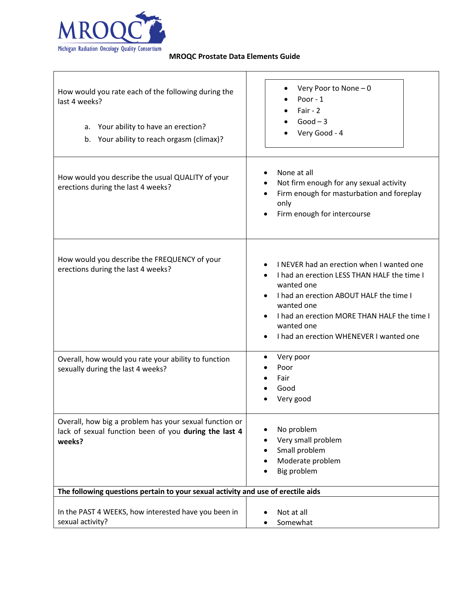

 $\mathbf{r}$ 

| How would you rate each of the following during the<br>last 4 weeks?<br>a. Your ability to have an erection?<br>Your ability to reach orgasm (climax)?<br>b. | Very Poor to None - 0<br>Poor - 1<br>Fair - $2$<br>$Good-3$<br>Very Good - 4                                                                                                                                                                                            |
|--------------------------------------------------------------------------------------------------------------------------------------------------------------|-------------------------------------------------------------------------------------------------------------------------------------------------------------------------------------------------------------------------------------------------------------------------|
| How would you describe the usual QUALITY of your<br>erections during the last 4 weeks?                                                                       | None at all<br>Not firm enough for any sexual activity<br>٠<br>Firm enough for masturbation and foreplay<br>$\bullet$<br>only<br>Firm enough for intercourse                                                                                                            |
| How would you describe the FREQUENCY of your<br>erections during the last 4 weeks?                                                                           | I NEVER had an erection when I wanted one<br>I had an erection LESS THAN HALF the time I<br>wanted one<br>I had an erection ABOUT HALF the time I<br>wanted one<br>I had an erection MORE THAN HALF the time I<br>wanted one<br>I had an erection WHENEVER I wanted one |
| Overall, how would you rate your ability to function<br>sexually during the last 4 weeks?                                                                    | Very poor<br>٠<br>Poor<br>Fair<br>Good<br>Very good                                                                                                                                                                                                                     |
| Overall, how big a problem has your sexual function or<br>lack of sexual function been of you during the last 4<br>weeks?                                    | No problem<br>Very small problem<br>Small problem<br>Moderate problem<br>Big problem                                                                                                                                                                                    |
| The following questions pertain to your sexual activity and use of erectile aids                                                                             |                                                                                                                                                                                                                                                                         |
| In the PAST 4 WEEKS, how interested have you been in<br>sexual activity?                                                                                     | Not at all<br>Somewhat                                                                                                                                                                                                                                                  |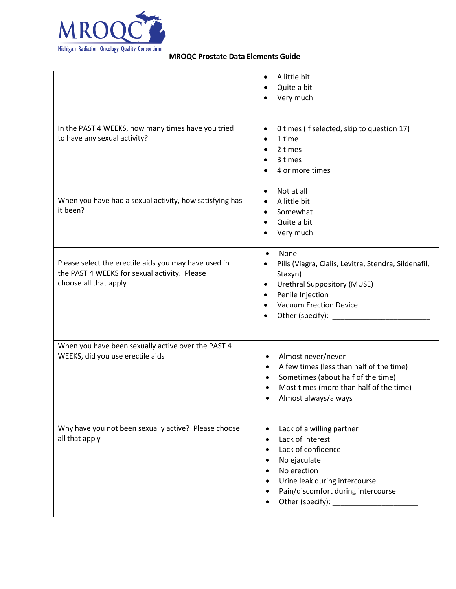

|                                                                                                                               | A little bit<br>٠<br>Quite a bit<br>Very much                                                                                                                                                                                 |
|-------------------------------------------------------------------------------------------------------------------------------|-------------------------------------------------------------------------------------------------------------------------------------------------------------------------------------------------------------------------------|
| In the PAST 4 WEEKS, how many times have you tried<br>to have any sexual activity?                                            | 0 times (If selected, skip to question 17)<br>٠<br>1 time<br>٠<br>2 times<br>$\bullet$<br>3 times<br>4 or more times                                                                                                          |
| When you have had a sexual activity, how satisfying has<br>it been?                                                           | Not at all<br>$\bullet$<br>A little bit<br>٠<br>Somewhat<br>$\bullet$<br>Quite a bit<br>Very much                                                                                                                             |
| Please select the erectile aids you may have used in<br>the PAST 4 WEEKS for sexual activity. Please<br>choose all that apply | None<br>$\bullet$<br>Pills (Viagra, Cialis, Levitra, Stendra, Sildenafil,<br>Staxyn)<br><b>Urethral Suppository (MUSE)</b><br>$\bullet$<br>Penile Injection<br><b>Vacuum Erection Device</b><br>Other (specify):<br>$\bullet$ |
| When you have been sexually active over the PAST 4<br>WEEKS, did you use erectile aids                                        | Almost never/never<br>A few times (less than half of the time)<br>Sometimes (about half of the time)<br>Most times (more than half of the time)<br>Almost always/always                                                       |
| Why have you not been sexually active? Please choose<br>all that apply                                                        | Lack of a willing partner<br>Lack of interest<br>٠<br>Lack of confidence<br>٠<br>No ejaculate<br>No erection<br>Urine leak during intercourse<br>Pain/discomfort during intercourse                                           |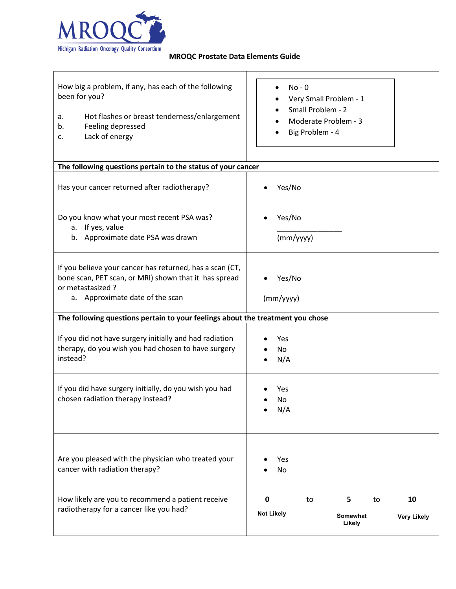

| How big a problem, if any, has each of the following<br>been for you?<br>Hot flashes or breast tenderness/enlargement<br>a.<br>Feeling depressed<br>b.<br>Lack of energy<br>c. | $No - 0$<br>Very Small Problem - 1<br>Small Problem - 2<br>Moderate Problem - 3<br>Big Problem - 4 |
|--------------------------------------------------------------------------------------------------------------------------------------------------------------------------------|----------------------------------------------------------------------------------------------------|
| The following questions pertain to the status of your cancer                                                                                                                   |                                                                                                    |
| Has your cancer returned after radiotherapy?                                                                                                                                   | Yes/No                                                                                             |
| Do you know what your most recent PSA was?<br>If yes, value<br>a.<br>b. Approximate date PSA was drawn                                                                         | Yes/No<br>(mm/yyyy)                                                                                |
| If you believe your cancer has returned, has a scan (CT,<br>bone scan, PET scan, or MRI) shown that it has spread<br>or metastasized?<br>a. Approximate date of the scan       | Yes/No<br>(mm/yyyy)                                                                                |
| The following questions pertain to your feelings about the treatment you chose                                                                                                 |                                                                                                    |
| If you did not have surgery initially and had radiation<br>therapy, do you wish you had chosen to have surgery<br>instead?                                                     | Yes<br>No<br>N/A                                                                                   |
| If you did have surgery initially, do you wish you had<br>chosen radiation therapy instead?                                                                                    | Yes<br>No<br>N/A                                                                                   |
| Are you pleased with the physician who treated your<br>cancer with radiation therapy?                                                                                          | Yes<br>No                                                                                          |
| How likely are you to recommend a patient receive<br>radiotherapy for a cancer like you had?                                                                                   | 10<br>0<br>5<br>to<br>to<br><b>Not Likely</b><br><b>Somewhat</b><br><b>Very Likely</b><br>Likely   |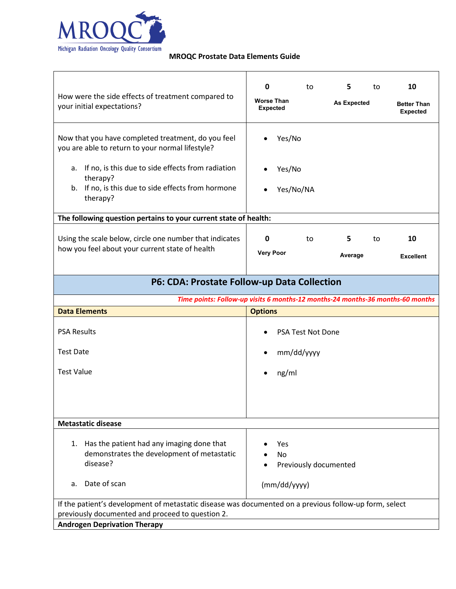

| How were the side effects of treatment compared to<br>your initial expectations?                                                                                  | 0<br><b>Worse Than</b><br>Expected | to                                 | 5.<br><b>As Expected</b> | to | 10<br><b>Better Than</b><br><b>Expected</b> |
|-------------------------------------------------------------------------------------------------------------------------------------------------------------------|------------------------------------|------------------------------------|--------------------------|----|---------------------------------------------|
| Now that you have completed treatment, do you feel<br>you are able to return to your normal lifestyle?<br>If no, is this due to side effects from radiation<br>а. |                                    | Yes/No<br>Yes/No                   |                          |    |                                             |
| therapy?<br>b. If no, is this due to side effects from hormone<br>therapy?                                                                                        |                                    | Yes/No/NA                          |                          |    |                                             |
| The following question pertains to your current state of health:                                                                                                  |                                    |                                    |                          |    |                                             |
| Using the scale below, circle one number that indicates<br>how you feel about your current state of health                                                        | 0<br><b>Very Poor</b>              | to                                 | 5<br>Average             | to | 10<br><b>Excellent</b>                      |
| P6: CDA: Prostate Follow-up Data Collection                                                                                                                       |                                    |                                    |                          |    |                                             |
| Time points: Follow-up visits 6 months-12 months-24 months-36 months-60 months                                                                                    |                                    |                                    |                          |    |                                             |
| <b>Data Elements</b>                                                                                                                                              | <b>Options</b>                     |                                    |                          |    |                                             |
| <b>PSA Results</b>                                                                                                                                                |                                    | <b>PSA Test Not Done</b>           |                          |    |                                             |
| <b>Test Date</b>                                                                                                                                                  |                                    | mm/dd/yyyy                         |                          |    |                                             |
| <b>Test Value</b>                                                                                                                                                 |                                    | ng/ml                              |                          |    |                                             |
| <b>Metastatic disease</b>                                                                                                                                         |                                    |                                    |                          |    |                                             |
|                                                                                                                                                                   |                                    |                                    |                          |    |                                             |
| Has the patient had any imaging done that<br>1.<br>demonstrates the development of metastatic<br>disease?                                                         |                                    | Yes<br>No<br>Previously documented |                          |    |                                             |
| Date of scan<br>a.                                                                                                                                                |                                    | (mm/dd/yyyy)                       |                          |    |                                             |
| If the patient's development of metastatic disease was documented on a previous follow-up form, select                                                            |                                    |                                    |                          |    |                                             |
| previously documented and proceed to question 2.                                                                                                                  |                                    |                                    |                          |    |                                             |
| <b>Androgen Deprivation Therapy</b>                                                                                                                               |                                    |                                    |                          |    |                                             |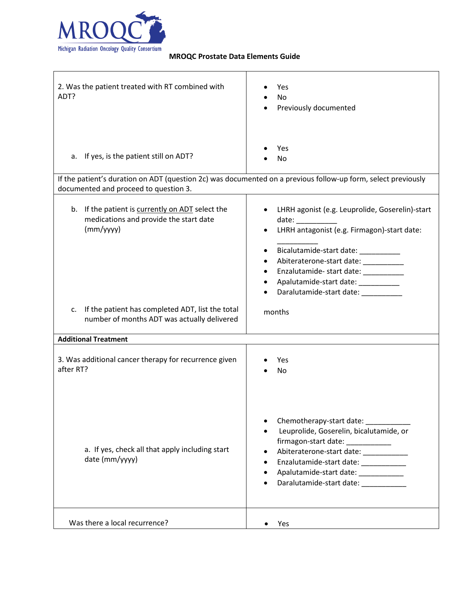

| 2. Was the patient treated with RT combined with<br>ADT?                                                                                               | Yes<br><b>No</b><br>Previously documented                                                                                                                                                                                                                                                                                                               |
|--------------------------------------------------------------------------------------------------------------------------------------------------------|---------------------------------------------------------------------------------------------------------------------------------------------------------------------------------------------------------------------------------------------------------------------------------------------------------------------------------------------------------|
| If yes, is the patient still on ADT?<br>а.                                                                                                             | Yes<br>No                                                                                                                                                                                                                                                                                                                                               |
| If the patient's duration on ADT (question 2c) was documented on a previous follow-up form, select previously<br>documented and proceed to question 3. |                                                                                                                                                                                                                                                                                                                                                         |
| b. If the patient is currently on ADT select the<br>medications and provide the start date<br>(mm/yyyy)                                                | LHRH agonist (e.g. Leuprolide, Goserelin)-start<br>date: and the state of the state of the state of the state of the state of the state of the state of the state<br>LHRH antagonist (e.g. Firmagon)-start date:<br>Bicalutamide-start date: _________<br>Enzalutamide- start date: ____________<br>Apalutamide-start date:<br>Daralutamide-start date: |
| If the patient has completed ADT, list the total<br>C.<br>number of months ADT was actually delivered                                                  | months                                                                                                                                                                                                                                                                                                                                                  |
| <b>Additional Treatment</b>                                                                                                                            |                                                                                                                                                                                                                                                                                                                                                         |
| 3. Was additional cancer therapy for recurrence given<br>after RT?                                                                                     | Yes<br>No                                                                                                                                                                                                                                                                                                                                               |
| a. If yes, check all that apply including start<br>date (mm/yyyy)                                                                                      | Chemotherapy-start date:<br>Leuprolide, Goserelin, bicalutamide, or<br>firmagon-start date: ___________<br>Abiteraterone-start date: __________<br>Enzalutamide-start date: ___________<br>Apalutamide-start date:<br>Daralutamide-start date:                                                                                                          |
| Was there a local recurrence?                                                                                                                          | Yes                                                                                                                                                                                                                                                                                                                                                     |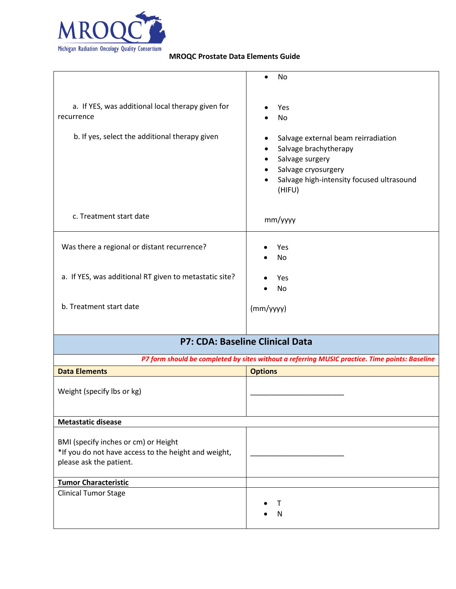

|                                                                                                                   | No                                                                                                                                                                         |
|-------------------------------------------------------------------------------------------------------------------|----------------------------------------------------------------------------------------------------------------------------------------------------------------------------|
| a. If YES, was additional local therapy given for<br>recurrence<br>b. If yes, select the additional therapy given | Yes<br>No<br>Salvage external beam reirradiation<br>Salvage brachytherapy<br>Salvage surgery<br>Salvage cryosurgery<br>Salvage high-intensity focused ultrasound<br>(HIFU) |
| c. Treatment start date                                                                                           | mm/yyyy                                                                                                                                                                    |
| Was there a regional or distant recurrence?                                                                       | Yes<br><b>No</b>                                                                                                                                                           |
| a. If YES, was additional RT given to metastatic site?                                                            | Yes<br>No                                                                                                                                                                  |
| b. Treatment start date                                                                                           | (mm/yyyy)                                                                                                                                                                  |
| P7: CDA: Baseline Clinical Data                                                                                   |                                                                                                                                                                            |
|                                                                                                                   | P7 form should be completed by sites without a referring MUSIC practice. Time points: Baseline                                                                             |

| <b>Data Elements</b>                                                                                                    | <b>Options</b> |
|-------------------------------------------------------------------------------------------------------------------------|----------------|
| Weight (specify lbs or kg)                                                                                              |                |
| <b>Metastatic disease</b>                                                                                               |                |
| BMI (specify inches or cm) or Height<br>*If you do not have access to the height and weight,<br>please ask the patient. |                |
| <b>Tumor Characteristic</b>                                                                                             |                |
| <b>Clinical Tumor Stage</b>                                                                                             | N              |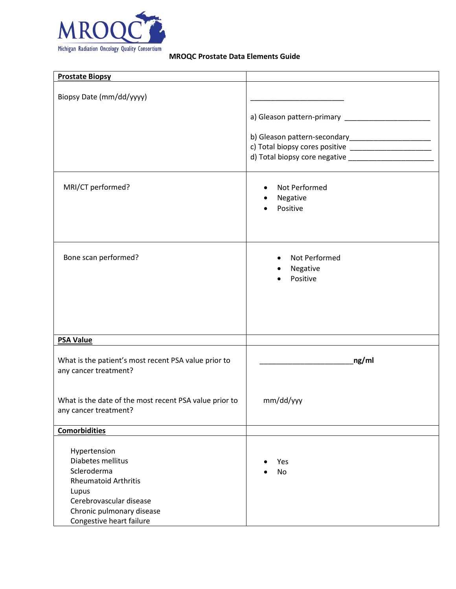

| <b>Prostate Biopsy</b>                                                                                                                           |                                                      |
|--------------------------------------------------------------------------------------------------------------------------------------------------|------------------------------------------------------|
| Biopsy Date (mm/dd/yyyy)                                                                                                                         |                                                      |
|                                                                                                                                                  |                                                      |
|                                                                                                                                                  | b) Gleason pattern-secondary________________________ |
| MRI/CT performed?                                                                                                                                | Not Performed<br>$\bullet$<br>Negative<br>Positive   |
| Bone scan performed?                                                                                                                             | Not Performed<br>$\bullet$<br>Negative<br>Positive   |
| <b>PSA Value</b>                                                                                                                                 |                                                      |
| What is the patient's most recent PSA value prior to<br>any cancer treatment?                                                                    | $_{\rm ng/ml}$                                       |
| What is the date of the most recent PSA value prior to<br>any cancer treatment?                                                                  | mm/dd/yyy                                            |
| <b>Comorbidities</b>                                                                                                                             |                                                      |
| Hypertension<br>Diabetes mellitus<br>Scleroderma<br><b>Rheumatoid Arthritis</b><br>Lupus<br>Cerebrovascular disease<br>Chronic pulmonary disease | Yes<br><b>No</b>                                     |
| Congestive heart failure                                                                                                                         |                                                      |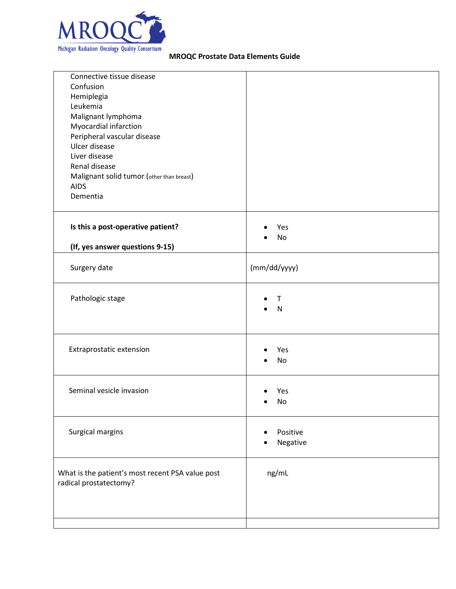

| Connective tissue disease<br>Confusion<br>Hemiplegia<br>Leukemia<br>Malignant lymphoma<br>Myocardial infarction<br>Peripheral vascular disease<br>Ulcer disease<br>Liver disease<br>Renal disease<br>Malignant solid tumor (other than breast)<br><b>AIDS</b><br>Dementia |                      |
|---------------------------------------------------------------------------------------------------------------------------------------------------------------------------------------------------------------------------------------------------------------------------|----------------------|
| Is this a post-operative patient?<br>(If, yes answer questions 9-15)                                                                                                                                                                                                      | Yes<br>No            |
| Surgery date                                                                                                                                                                                                                                                              | (mm/dd/yyyy)         |
| Pathologic stage                                                                                                                                                                                                                                                          | т<br>N               |
| Extraprostatic extension                                                                                                                                                                                                                                                  | Yes<br><b>No</b>     |
| Seminal vesicle invasion                                                                                                                                                                                                                                                  | Yes<br>No            |
| Surgical margins                                                                                                                                                                                                                                                          | Positive<br>Negative |
| What is the patient's most recent PSA value post<br>radical prostatectomy?                                                                                                                                                                                                | ng/mL                |
|                                                                                                                                                                                                                                                                           |                      |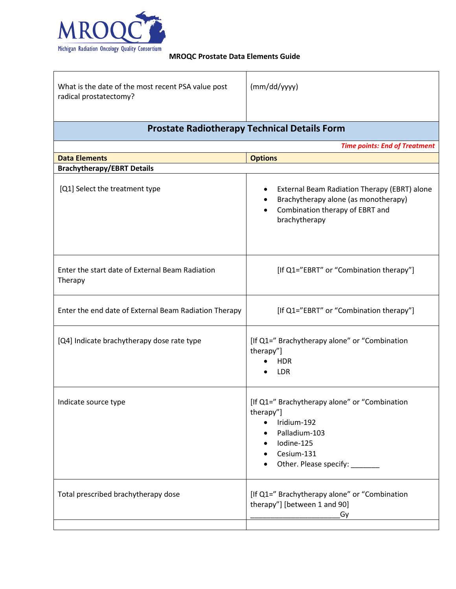

| What is the date of the most recent PSA value post<br>radical prostatectomy? | (mm/dd/yyyy) |
|------------------------------------------------------------------------------|--------------|
|                                                                              |              |

## **Prostate Radiotherapy Technical Details Form**

|                                                            | <b>Time points: End of Treatment</b>                                                                                                                                                                                   |
|------------------------------------------------------------|------------------------------------------------------------------------------------------------------------------------------------------------------------------------------------------------------------------------|
| <b>Data Elements</b>                                       | <b>Options</b>                                                                                                                                                                                                         |
| <b>Brachytherapy/EBRT Details</b>                          |                                                                                                                                                                                                                        |
| [Q1] Select the treatment type                             | External Beam Radiation Therapy (EBRT) alone<br>$\bullet$<br>Brachytherapy alone (as monotherapy)<br>Combination therapy of EBRT and<br>$\bullet$<br>brachytherapy                                                     |
| Enter the start date of External Beam Radiation<br>Therapy | [If Q1="EBRT" or "Combination therapy"]                                                                                                                                                                                |
| Enter the end date of External Beam Radiation Therapy      | [If Q1="EBRT" or "Combination therapy"]                                                                                                                                                                                |
| [Q4] Indicate brachytherapy dose rate type                 | [If Q1=" Brachytherapy alone" or "Combination<br>therapy"]<br><b>HDR</b><br><b>LDR</b>                                                                                                                                 |
| Indicate source type                                       | [If Q1=" Brachytherapy alone" or "Combination<br>therapy"]<br>Iridium-192<br>$\bullet$<br>Palladium-103<br>$\bullet$<br>Iodine-125<br>$\bullet$<br>Cesium-131<br>$\bullet$<br>Other. Please specify: ____<br>$\bullet$ |
| Total prescribed brachytherapy dose                        | [If Q1=" Brachytherapy alone" or "Combination<br>therapy"] [between 1 and 90]<br>Gy                                                                                                                                    |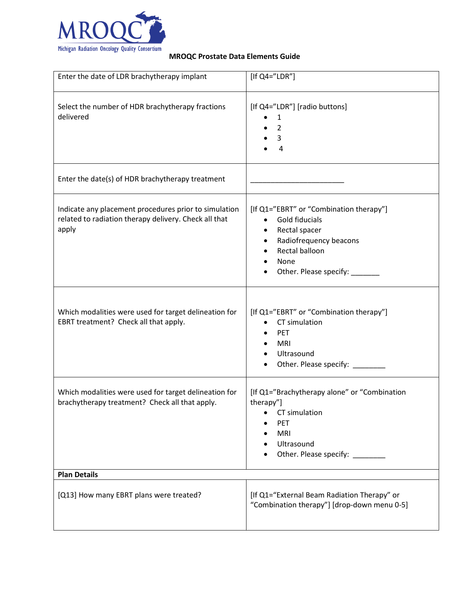

| Enter the date of LDR brachytherapy implant                                                                             | [If $Q4="LDR"$ ]                                                                                                                                                           |
|-------------------------------------------------------------------------------------------------------------------------|----------------------------------------------------------------------------------------------------------------------------------------------------------------------------|
| Select the number of HDR brachytherapy fractions<br>delivered                                                           | [If Q4="LDR"] [radio buttons]<br>1<br>$\overline{2}$<br>3<br>$\overline{4}$                                                                                                |
| Enter the date(s) of HDR brachytherapy treatment                                                                        |                                                                                                                                                                            |
| Indicate any placement procedures prior to simulation<br>related to radiation therapy delivery. Check all that<br>apply | [If Q1="EBRT" or "Combination therapy"]<br>Gold fiducials<br>Rectal spacer<br>٠<br>Radiofrequency beacons<br>$\bullet$<br>Rectal balloon<br>None<br>Other. Please specify: |
| Which modalities were used for target delineation for<br>EBRT treatment? Check all that apply.                          | [If Q1="EBRT" or "Combination therapy"]<br>CT simulation<br><b>PET</b><br><b>MRI</b><br>Ultrasound<br>Other. Please specify: _______                                       |
| Which modalities were used for target delineation for<br>brachytherapy treatment? Check all that apply.                 | [If Q1="Brachytherapy alone" or "Combination<br>therapy"]<br>CT simulation<br>PET<br><b>MRI</b><br>Ultrasound<br>Other. Please specify:                                    |
| <b>Plan Details</b>                                                                                                     |                                                                                                                                                                            |
| [Q13] How many EBRT plans were treated?                                                                                 | [If Q1="External Beam Radiation Therapy" or<br>"Combination therapy"] [drop-down menu 0-5]                                                                                 |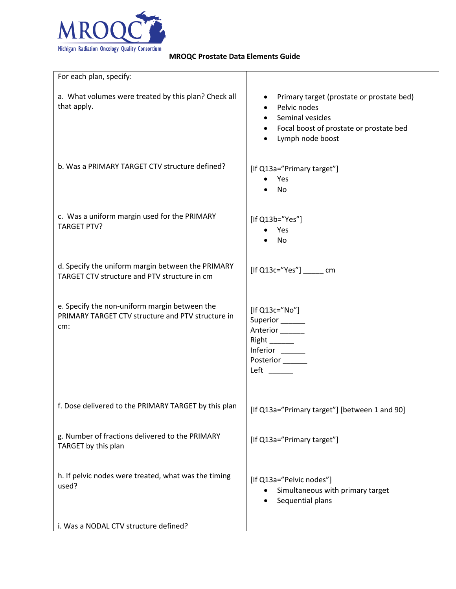

| For each plan, specify:                                                                                   |                                                                                                                                              |
|-----------------------------------------------------------------------------------------------------------|----------------------------------------------------------------------------------------------------------------------------------------------|
| a. What volumes were treated by this plan? Check all<br>that apply.                                       | Primary target (prostate or prostate bed)<br>Pelvic nodes<br>Seminal vesicles<br>Focal boost of prostate or prostate bed<br>Lymph node boost |
| b. Was a PRIMARY TARGET CTV structure defined?                                                            | [If Q13a="Primary target"]<br>Yes<br>No                                                                                                      |
| c. Was a uniform margin used for the PRIMARY<br><b>TARGET PTV?</b>                                        | [If Q13b="Yes"]<br>Yes<br>No                                                                                                                 |
| d. Specify the uniform margin between the PRIMARY<br>TARGET CTV structure and PTV structure in cm         | $[$ If Q13c="Yes" $]$ cm                                                                                                                     |
| e. Specify the non-uniform margin between the<br>PRIMARY TARGET CTV structure and PTV structure in<br>cm: | [If Q13c="No"]<br>Superior______<br>Anterior______<br>$Right$ <sub>________</sub><br>Inferior<br>Posterior <sub>______</sub><br><b>Left</b>  |
| f. Dose delivered to the PRIMARY TARGET by this plan                                                      | [If Q13a="Primary target"] [between 1 and 90]                                                                                                |
| g. Number of fractions delivered to the PRIMARY<br>TARGET by this plan                                    | [If Q13a="Primary target"]                                                                                                                   |
| h. If pelvic nodes were treated, what was the timing<br>used?                                             | [If Q13a="Pelvic nodes"]<br>Simultaneous with primary target<br>Sequential plans                                                             |
| i. Was a NODAL CTV structure defined?                                                                     |                                                                                                                                              |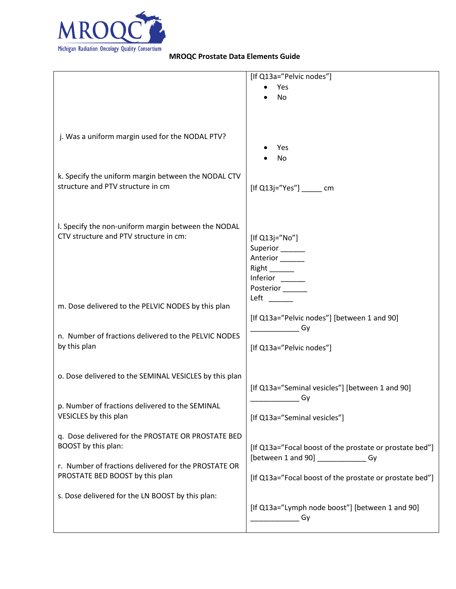

|                                                        | [If Q13a="Pelvic nodes"]                                |
|--------------------------------------------------------|---------------------------------------------------------|
|                                                        | Yes                                                     |
|                                                        | No                                                      |
|                                                        |                                                         |
|                                                        |                                                         |
|                                                        |                                                         |
| j. Was a uniform margin used for the NODAL PTV?        |                                                         |
|                                                        | Yes<br>No                                               |
|                                                        |                                                         |
| k. Specify the uniform margin between the NODAL CTV    |                                                         |
| structure and PTV structure in cm                      | $[$ If Q13j="Yes" $]$ cm                                |
|                                                        |                                                         |
|                                                        |                                                         |
| I. Specify the non-uniform margin between the NODAL    |                                                         |
| CTV structure and PTV structure in cm:                 | [If Q13j="No"]                                          |
|                                                        | Superior______                                          |
|                                                        | Anterior <sub>______</sub>                              |
|                                                        |                                                         |
|                                                        | Inferior _____                                          |
|                                                        | Posterior<br>Left                                       |
| m. Dose delivered to the PELVIC NODES by this plan     |                                                         |
|                                                        | [If Q13a="Pelvic nodes"] [between 1 and 90]             |
| n. Number of fractions delivered to the PELVIC NODES   | Gy                                                      |
| by this plan                                           | [If Q13a="Pelvic nodes"]                                |
|                                                        |                                                         |
|                                                        |                                                         |
| o. Dose delivered to the SEMINAL VESICLES by this plan |                                                         |
|                                                        | [If Q13a="Seminal vesicles"] [between 1 and 90]         |
| p. Number of fractions delivered to the SEMINAL        | Gy                                                      |
| VESICLES by this plan                                  | [If Q13a="Seminal vesicles"]                            |
|                                                        |                                                         |
| q. Dose delivered for the PROSTATE OR PROSTATE BED     |                                                         |
| BOOST by this plan:                                    | [If Q13a="Focal boost of the prostate or prostate bed"] |
| r. Number of fractions delivered for the PROSTATE OR   | [between 1 and 90] ______________Gy                     |
| PROSTATE BED BOOST by this plan                        | [If Q13a="Focal boost of the prostate or prostate bed"] |
|                                                        |                                                         |
| s. Dose delivered for the LN BOOST by this plan:       |                                                         |
|                                                        | [If Q13a="Lymph node boost"] [between 1 and 90]         |
|                                                        | Gy                                                      |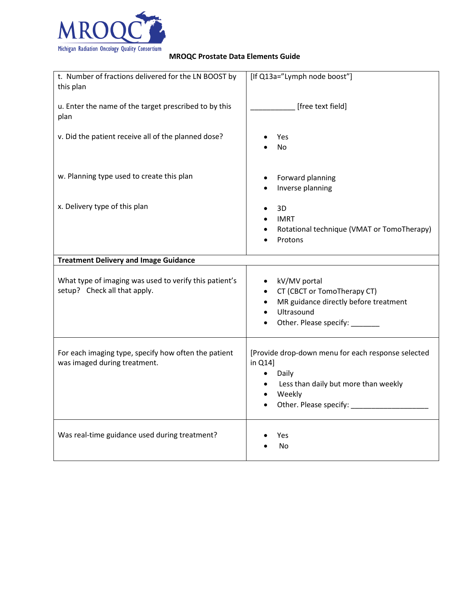

| t. Number of fractions delivered for the LN BOOST by                                   | [If Q13a="Lymph node boost"]                                                                                                                            |
|----------------------------------------------------------------------------------------|---------------------------------------------------------------------------------------------------------------------------------------------------------|
| this plan                                                                              |                                                                                                                                                         |
| u. Enter the name of the target prescribed to by this<br>plan                          | [free text field]                                                                                                                                       |
| v. Did the patient receive all of the planned dose?                                    | Yes<br>No                                                                                                                                               |
| w. Planning type used to create this plan                                              | Forward planning<br>Inverse planning                                                                                                                    |
| x. Delivery type of this plan                                                          | 3D<br><b>IMRT</b><br>Rotational technique (VMAT or TomoTherapy)<br>Protons                                                                              |
| <b>Treatment Delivery and Image Guidance</b>                                           |                                                                                                                                                         |
| What type of imaging was used to verify this patient's<br>setup? Check all that apply. | kV/MV portal<br>CT (CBCT or TomoTherapy CT)<br>MR guidance directly before treatment<br>$\bullet$<br>Ultrasound<br>Other. Please specify: ____          |
| For each imaging type, specify how often the patient<br>was imaged during treatment.   | [Provide drop-down menu for each response selected<br>in Q14]<br>Daily<br>٠<br>Less than daily but more than weekly<br>Weekly<br>Other. Please specify: |
| Was real-time guidance used during treatment?                                          | Yes<br>No                                                                                                                                               |